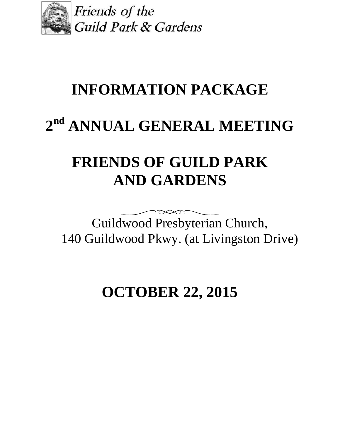

Friends of the Guild Park & Gardens

# **INFORMATION PACKAGE**

# **2 nd ANNUAL GENERAL MEETING**

# **FRIENDS OF GUILD PARK AND GARDENS**

Guildwood Presbyterian Church, 140 Guildwood Pkwy. (at Livingston Drive)

**OCTOBER 22, 2015**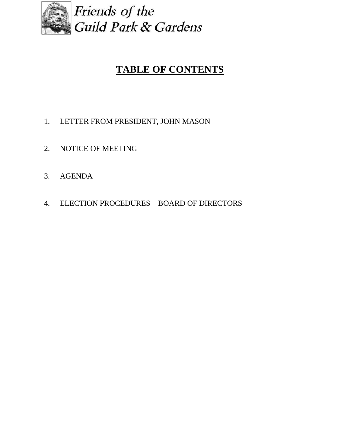

## **TABLE OF CONTENTS**

- 1. LETTER FROM PRESIDENT, JOHN MASON
- 2. NOTICE OF MEETING
- 3. AGENDA
- 4. ELECTION PROCEDURES BOARD OF DIRECTORS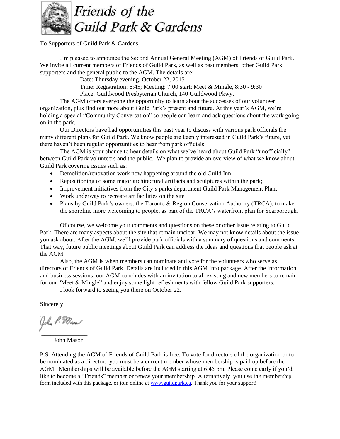

Friends of the Guild Park & Gardens

To Supporters of Guild Park & Gardens,

I'm pleased to announce the Second Annual General Meeting (AGM) of Friends of Guild Park. We invite all current members of Friends of Guild Park, as well as past members, other Guild Park supporters and the general public to the AGM. The details are:

Date: Thursday evening, October 22, 2015

Time: Registration: 6:45; Meeting: 7:00 start; Meet & Mingle, 8:30 - 9:30

Place: Guildwood Presbyterian Church, 140 Guildwood Pkwy.

The AGM offers everyone the opportunity to learn about the successes of our volunteer organization, plus find out more about Guild Park's present and future. At this year's AGM, we're holding a special "Community Conversation" so people can learn and ask questions about the work going on in the park.

Our Directors have had opportunities this past year to discuss with various park officials the many different plans for Guild Park. We know people are keenly interested in Guild Park's future, yet there haven't been regular opportunities to hear from park officials.

The AGM is your chance to hear details on what we've heard about Guild Park "unofficially" – between Guild Park volunteers and the public. We plan to provide an overview of what we know about Guild Park covering issues such as:

- Demolition/renovation work now happening around the old Guild Inn;
- Repositioning of some major architectural artifacts and sculptures within the park;
- Improvement initiatives from the City's parks department Guild Park Management Plan;
- Work underway to recreate art facilities on the site
- Plans by Guild Park's owners, the Toronto & Region Conservation Authority (TRCA), to make the shoreline more welcoming to people, as part of the TRCA's waterfront plan for Scarborough.

Of course, we welcome your comments and questions on these or other issue relating to Guild Park. There are many aspects about the site that remain unclear. We may not know details about the issue you ask about. After the AGM, we'll provide park officials with a summary of questions and comments. That way, future public meetings about Guild Park can address the ideas and questions that people ask at the AGM.

Also, the AGM is when members can nominate and vote for the volunteers who serve as directors of Friends of Guild Park. Details are included in this AGM info package. After the information and business sessions, our AGM concludes with an invitation to all existing and new members to remain for our "Meet & Mingle" and enjoy some light refreshments with fellow Guild Park supporters.

I look forward to seeing you there on October 22.

Sincerely,

John P. Masn \_\_\_\_\_\_\_\_\_\_\_\_\_\_\_

John Mason

P.S. Attending the AGM of Friends of Guild Park is free. To vote for directors of the organization or to be nominated as a director, you must be a current member whose membership is paid up before the AGM. Memberships will be available before the AGM starting at 6:45 pm. Please come early if you'd like to become a "Friends" member or renew your membership. Alternatively, you use the membership form included with this package, or join online at [www.guildpark.ca.](http://www.guildpark.ca/) Thank you for your support!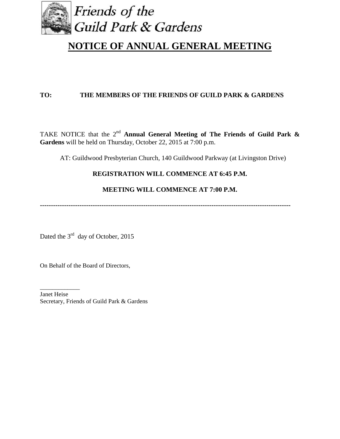

### **NOTICE OF ANNUAL GENERAL MEETING**

#### **TO: THE MEMBERS OF THE FRIENDS OF GUILD PARK & GARDENS**

TAKE NOTICE that the  $2<sup>nd</sup>$  **Annual General Meeting of The Friends of Guild Park & Gardens** will be held on Thursday, October 22, 2015 at 7:00 p.m.

AT: Guildwood Presbyterian Church, 140 Guildwood Parkway (at Livingston Drive)

#### **REGISTRATION WILL COMMENCE AT 6:45 P.M.**

#### **MEETING WILL COMMENCE AT 7:00 P.M.**

**------------------------------------------------------------------------------------------------------------------**

Dated the  $3<sup>rd</sup>$  day of October, 2015

On Behalf of the Board of Directors,

\_\_\_\_\_\_\_\_\_\_\_\_\_

Janet Heise Secretary, Friends of Guild Park & Gardens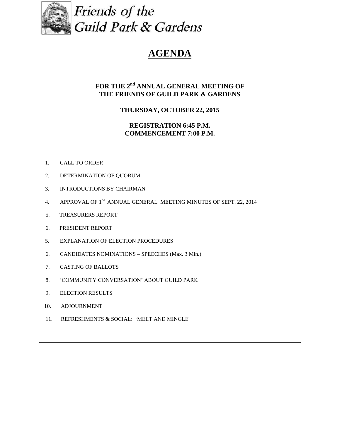

Friends of the **Guild Park & Gardens** 

## **AGENDA**

#### $FOR$  THE  $2<sup>nd</sup>$  ANNUAL GENERAL MEETING OF **THE FRIENDS OF GUILD PARK & GARDENS**

#### **THURSDAY, OCTOBER 22, 2015**

#### **REGISTRATION 6:45 P.M. COMMENCEMENT 7:00 P.M.**

- 1. CALL TO ORDER
- 2. DETERMINATION OF QUORUM
- 3. INTRODUCTIONS BY CHAIRMAN
- 4. APPROVAL OF 1<sup>ST</sup> ANNUAL GENERAL MEETING MINUTES OF SEPT. 22, 2014
- 5. TREASURERS REPORT
- 6. PRESIDENT REPORT
- 5. EXPLANATION OF ELECTION PROCEDURES
- 6. CANDIDATES NOMINATIONS SPEECHES (Max. 3 Min.)
- 7. CASTING OF BALLOTS
- 8. 'COMMUNITY CONVERSATION' ABOUT GUILD PARK
- 9. ELECTION RESULTS
- 10. ADJOURNMENT
- 11. REFRESHMENTS & SOCIAL: 'MEET AND MINGLE'